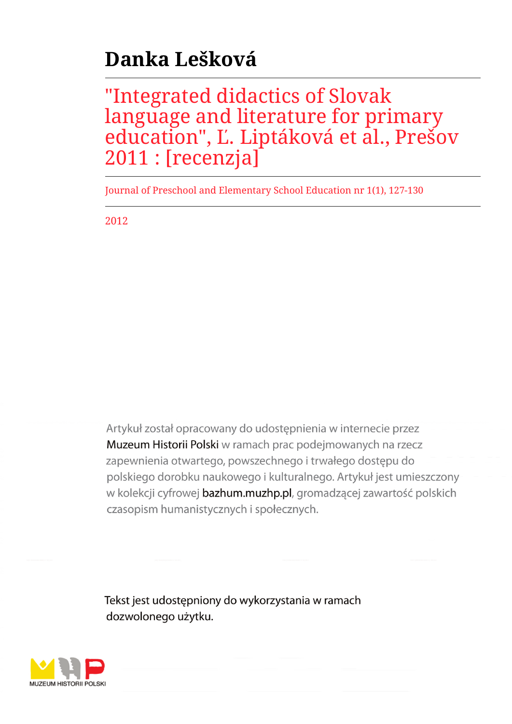## **Danka Lešková**

## "Integrated didactics of Slovak language and literature for primary education", Ľ. Liptáková et al., Prešov 2011 : [recenzja]

Journal of Preschool and Elementary School Education nr 1(1), 127-130

2012

Artykuł został opracowany do udostępnienia w internecie przez Muzeum Historii Polski w ramach prac podejmowanych na rzecz zapewnienia otwartego, powszechnego i trwałego dostępu do polskiego dorobku naukowego i kulturalnego. Artykuł jest umieszczony w kolekcji cyfrowej bazhum.muzhp.pl, gromadzącej zawartość polskich czasopism humanistycznych i społecznych.

Tekst jest udostępniony do wykorzystania w ramach dozwolonego użytku.

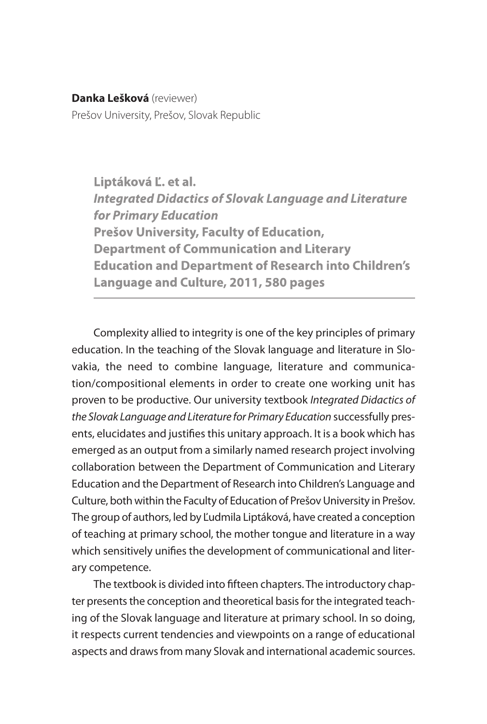## **Danka Lešková** (reviewer) Prešov University, Prešov, Slovak Republic

Liptáková Ľ. et al. **Integrated Didactics of Slovak Language and Literature for Primary Education Prešov University, Faculty of Education, Department of Communication and Literary Education and Department of Research into Children's** Language and Culture, 2011, 580 pages

Complexity allied to integrity is one of the key principles of primary education. In the teaching of the Slovak language and literature in Slovakia, the need to combine language, literature and communication/compositional elements in order to create one working unit has proven to be productive. Our university textbook Integrated Didactics of the Slovak Language and Literature for Primary Education successfully presents, elucidates and justifies this unitary approach. It is a book which has emerged as an output from a similarly named research project involving collaboration between the Department of Communication and Literary Education and the Department of Research into Children's Language and Culture, both within the Faculty of Education of Prešov University in Prešov. The group of authors, led by Ľudmila Liptáková, have created a conception of teaching at primary school, the mother tongue and literature in a way which sensitively unifies the development of communicational and literary competence.

The textbook is divided into fifteen chapters. The introductory chapter presents the conception and theoretical basis for the integrated teaching of the Slovak language and literature at primary school. In so doing, it respects current tendencies and viewpoints on a range of educational aspects and draws from many Slovak and international academic sources.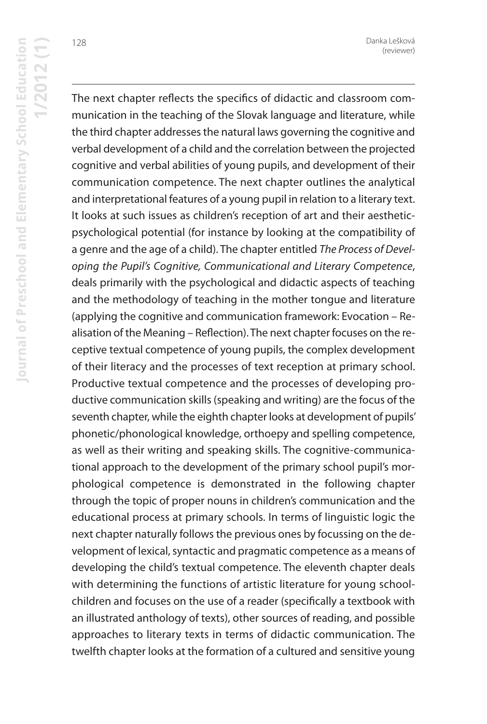The next chapter reflects the specifics of didactic and classroom communication in the teaching of the Slovak language and literature, while the third chapter addresses the natural laws governing the cognitive and verbal development of a child and the correlation between the projected cognitive and verbal abilities of young pupils, and development of their communication competence. The next chapter outlines the analytical and interpretational features of a young pupil in relation to a literary text. It looks at such issues as children's reception of art and their aestheticpsychological potential (for instance by looking at the compatibility of a genre and the age of a child). The chapter entitled The Process of Developing the Pupil's Cognitive, Communicational and Literary Competence, deals primarily with the psychological and didactic aspects of teaching and the methodology of teaching in the mother tongue and literature (applying the cognitive and communication framework: Evocation – Realisation of the Meaning – Reflection). The next chapter focuses on the receptive textual competence of young pupils, the complex development of their literacy and the processes of text reception at primary school. Productive textual competence and the processes of developing productive communication skills (speaking and writing) are the focus of the seventh chapter, while the eighth chapter looks at development of pupils' phonetic/phonological knowledge, orthoepy and spelling competence, as well as their writing and speaking skills. The cognitive-communicational approach to the development of the primary school pupil's morphological competence is demonstrated in the following chapter through the topic of proper nouns in children's communication and the educational process at primary schools. In terms of linguistic logic the next chapter naturally follows the previous ones by focussing on the development of lexical, syntactic and pragmatic competence as a means of developing the child's textual competence. The eleventh chapter deals with determining the functions of artistic literature for young schoolchildren and focuses on the use of a reader (specifically a textbook with an illustrated anthology of texts), other sources of reading, and possible approaches to literary texts in terms of didactic communication. The twelfth chapter looks at the formation of a cultured and sensitive young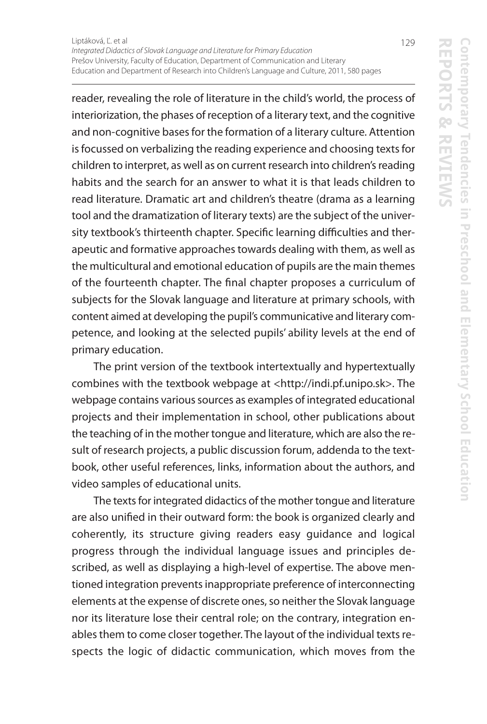reader, revealing the role of literature in the child's world, the process of interiorization, the phases of reception of a literary text, and the cognitive and non-cognitive bases for the formation of a literary culture. Attention is focussed on verbalizing the reading experience and choosing texts for children to interpret, as well as on current research into children's reading habits and the search for an answer to what it is that leads children to read literature. Dramatic art and children's theatre (drama as a learning tool and the dramatization of literary texts) are the subject of the university textbook's thirteenth chapter. Specific learning difficulties and therapeutic and formative approaches towards dealing with them, as well as the multicultural and emotional education of pupils are the main themes of the fourteenth chapter. The final chapter proposes a curriculum of subjects for the Slovak language and literature at primary schools, with content aimed at developing the pupil's communicative and literary competence, and looking at the selected pupils' ability levels at the end of primary education.

The print version of the textbook intertextually and hypertextually combines with the textbook webpage at <http://indi.pf.unipo.sk>. The webpage contains various sources as examples of integrated educational projects and their implementation in school, other publications about the teaching of in the mother tongue and literature, which are also the result of research projects, a public discussion forum, addenda to the textbook, other useful references, links, information about the authors, and video samples of educational units.

The texts for integrated didactics of the mother tongue and literature are also unified in their outward form: the book is organized clearly and coherently, its structure giving readers easy guidance and logical progress through the individual language issues and principles described, as well as displaying a high-level of expertise. The above mentioned integration prevents inappropriate preference of interconnecting elements at the expense of discrete ones, so neither the Slovak language nor its literature lose their central role; on the contrary, integration enables them to come closer together. The layout of the individual texts respects the logic of didactic communication, which moves from the